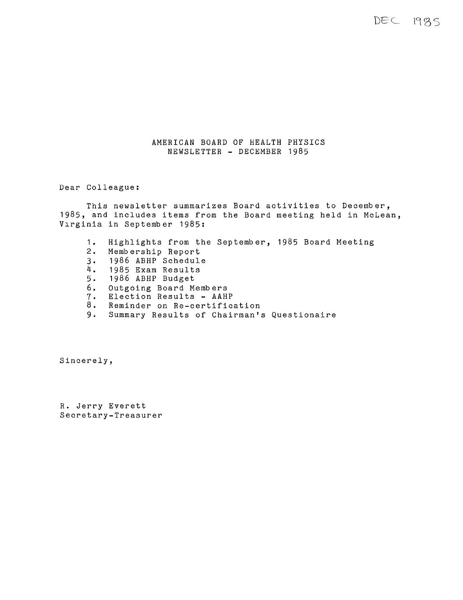DEC 1985

## AMERICAN BOARD OF HEALTH PHYSICS NEWSLETTER - DECEMBER 1985

Dear Colleague:

This newsletter summarizes Board activities to December, 1985, and includes items from the Board meeting held in McLean, Virginia in September 1985:

- 1. Highlights from the September, 1985 Board Meeting Membership Report 3. 1986 ABHP Schedule 4. 1985 Exam Results<br>5. 1986 ABHP Budget 5. 1986 ABHP Budget<br>6. Outgoing Board Me 6. Outgoing Board Members 7. Election Results - AAHP
- 7. Election Results AAHP<br>8. Reminder on Re-certification<br>9. Summary Results of Chairman's
- Summary Results of Chairman's Questionaire

Sincerely,

R. Jerry Everett Secretary-Treasurer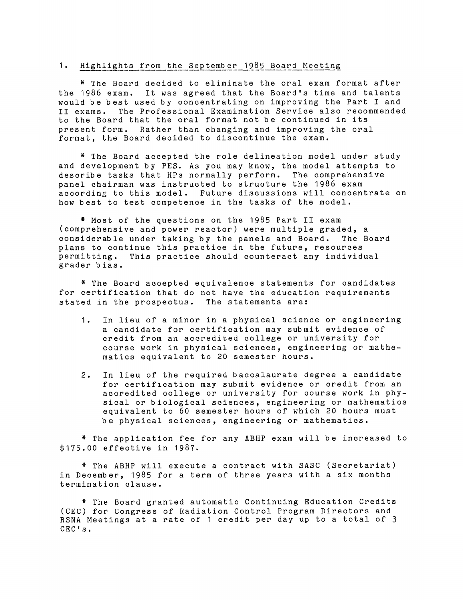#### 1. Highlights from the September 1985 Board Meeting

\* The Board decided to eliminate the oral exam format after the 1986 exam. It was agreed that the Board's time and talents would be best used by concentrating on improving the Part I and II exams. The Professional Examination Service also recommended to the Board that the oral format not be continued in its present form. Rather than changing and improving the oral format, the Board decided to discontinue the exam.

\* The Board accepted the role delineation model under study and development by PES. As you may know, the model attempts to describe tasks that HPs normally perform. The comprehensive panel chairman was instructed to structure the 1986 exam according to this model. Future discussions will concentrate on how best to test competence in the tasks of the model.

\* Most of the questions on the 1985 Part II exam (comprehensive and power reactor) were multiple graded, <sup>a</sup> considerable under taking by the panels and Board. The Board plans to continue this practice in the future, resources permitting. This practice should counteract any individual grader bias.

\* The Board accepted equivalence statements for candidates for certification that do not have the education requirements stated in the prospectus. The statements are:

- 1. In lieu of a minor in a physical science or engineering <sup>a</sup>candidate for certification may submit evidence of credit from an accredited college or university for course work in physical sciences, engineering or mathematics equivalent to 20 semester hours.
- 2. In lieu of the required baccalaurate degree a candidate for certification may submit evidence or credit from an accredited college or university for course work in physical or biological sciences, engineering or mathematics equivalent to 60 semester hours of which 20 hours must be physical sciences, engineering or mathematics.

\* The application fee for any ABHP exam will be increased to \$175.00 effective in 1987.

\* The ABHP will execute a contract with SASC (Secretariat) in December, 1985 for a term of three years with a six months termination clause.

\* The Board granted automatic Continuing Education Credits (CEC) for Congress of Radiation Control Program Directors and RSNA Meetings at a rate of 1 credit per day up to a total of 3 CEC's.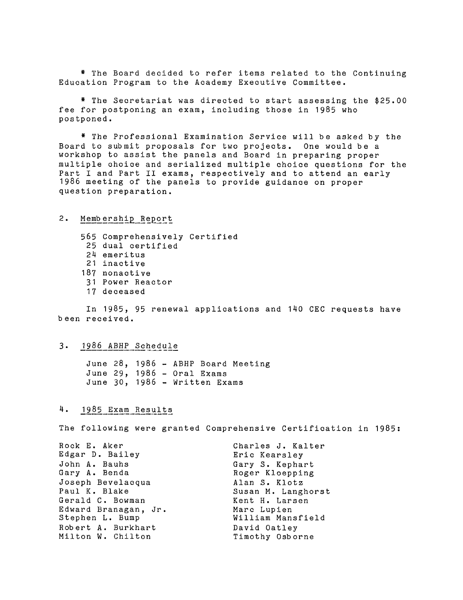\* The Board decided to refer items related to the Continuing Education Program to the Academy Executive Committee.

\* The Secretariat was directed to start assessing the \$25.00 fee for postponing an exam, including those in 1985 who postponed.

\* The Professional Examination Service will be asked by the Board to submit proposals for two projects. One would be a workshop to assist the panels and Board in preparing proper multiple choice and serialized multiple choice questions for the Part I and Part II exams, respectively and to attend an early 1986 meeting of the panels to provide guidance on proper question preparation.

## 2. Membership Report

565 Comprehensively Certified 25 dual certified 24 emeritus 21 inactive 187 nonactive 31 Power Reactor 17 deceased

In 1985, 95 renewal applications and 140 CEC requests have been received.

## 3. 1986 ABHP Schedule

June 28, 1986 - ABHP Board Meeting June 29, 1986 - Oral Exams June 30, 1986 - Written Exams

## 4. 1985\_Exam\_Results

The following were granted Comprehensive Certification in 1985:

| Rock E. Aker         | Charles J. Kalter  |
|----------------------|--------------------|
| Edgar D. Bailey      | Eric Kearsley      |
| John A. Bauhs        | Gary S. Kephart    |
| Gary A. Benda        | Roger Kloepping    |
| Joseph Bevelacqua    | Alan S. Klotz      |
| Paul K. Blake        | Susan M. Langhorst |
| Gerald C. Bowman     | Kent H. Larsen     |
| Edward Branagan, Jr. | Marc Lupien        |
| Stephen L. Bump      | William Mansfield  |
| Robert A. Burkhart   | David Oatley       |
| Milton W. Chilton    | Timothy Osborne    |
|                      |                    |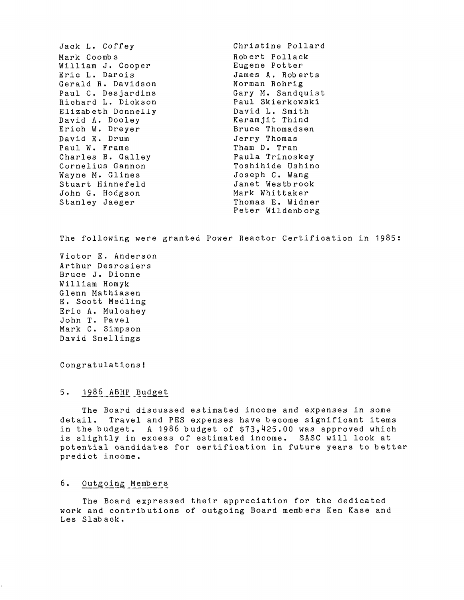Jack L. Coffey Mark Coombs William J. Cooper Eric L. Darois Gerald R. Davidson Paul C. Desjardins Richard L. Dickson Elizabeth Donnelly David A. Dooley Erich w. Dreyer David E. Drum Paul W. Frame Charles B. Galley Cornelius Gannon Wayne M. Glines Stuart Hinnefeld John G. Hodgson Stanley Jaeger Christine Pollard Robert Pollack Eugene Potter James A. Roberts Norman Rohrig<br>Gary M. Sandquist Gary M. Sandquist Paul Skierkowski David L. Smith Keramjit Thind Bruce Thomadsen Jerry Thomas Tham D. Tran Paula Trinoskey Toshihide Ushino Joseph C. Wang Janet Westbrook Mark Whittaker Thomas E. Widner Peter Wildenb org

The following were granted Power Reactor Certification in 1985:

Victor E. Anderson Arthur Desrosiers Bruce J. Dionne William Homyk Glenn Mathiasen E. Scott Medling Eric A. Mulcahey John T. Pavel Mark C. Simpson David Snellings

Congratulations!

5. 1986 ABHP Budget

The Board discussed estimated income and expenses in some detail. Travel and PES expenses have become significant items in the budget. A 1986 budget of \$73,425.00 was approved which is slightly in excess of estimated income. SASC will look at potential candidates for certification in future years to better predict income.

# 6. Outgoing\_Members

The Board expressed their appreciation for the dedicated work and contributions of outgoing Board members Ken Kase and Les Slab ack.